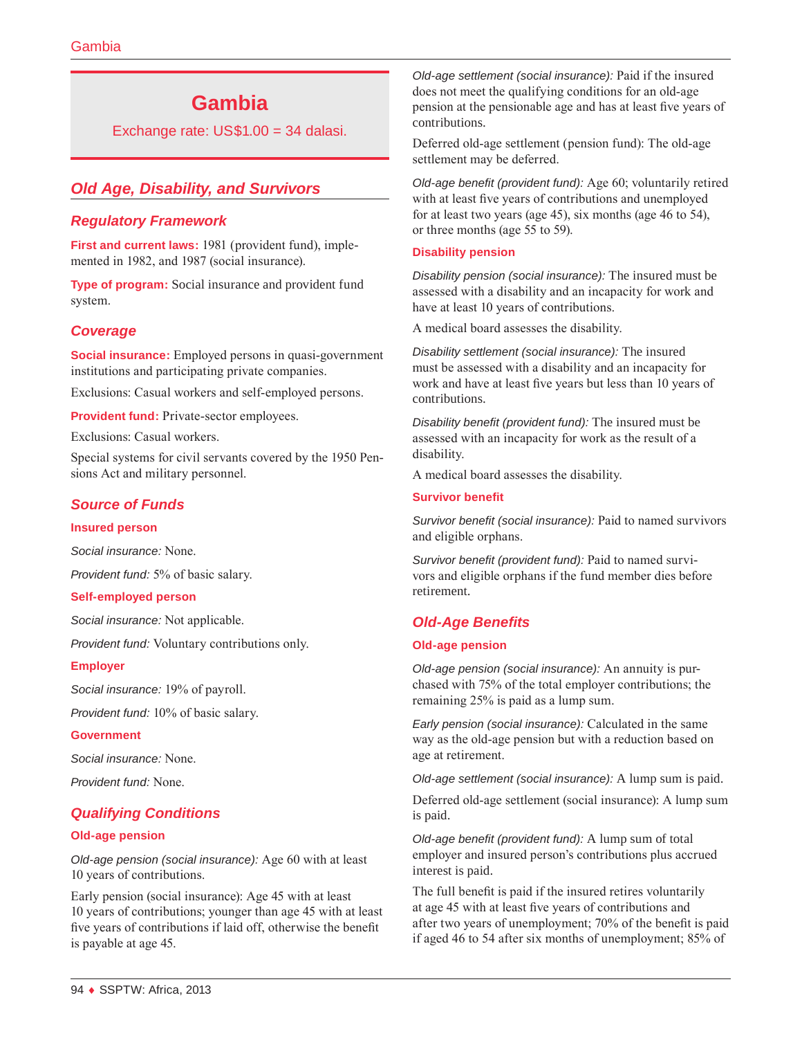# **Gambia**

Exchange rate: US\$1.00 = 34 dalasi.

# *Old Age, Disability, and Survivors*

# *Regulatory Framework*

**First and current laws:** 1981 (provident fund), implemented in 1982, and 1987 (social insurance).

**Type of program:** Social insurance and provident fund system.

# *Coverage*

**Social insurance:** Employed persons in quasi-government institutions and participating private companies.

Exclusions: Casual workers and self-employed persons.

**Provident fund:** Private-sector employees.

Exclusions: Casual workers.

Special systems for civil servants covered by the 1950 Pensions Act and military personnel.

# *Source of Funds*

#### **Insured person**

*Social insurance:* None.

*Provident fund:* 5% of basic salary.

#### **Self-employed person**

*Social insurance:* Not applicable.

*Provident fund:* Voluntary contributions only.

#### **Employer**

*Social insurance:* 19% of payroll.

*Provident fund:* 10% of basic salary.

#### **Government**

*Social insurance:* None.

*Provident fund:* None.

### *Qualifying Conditions*

#### **Old-age pension**

*Old-age pension (social insurance):* Age 60 with at least 10 years of contributions.

Early pension (social insurance): Age 45 with at least 10 years of contributions; younger than age 45 with at least five years of contributions if laid off, otherwise the benefit is payable at age 45.

*Old-age settlement (social insurance):* Paid if the insured does not meet the qualifying conditions for an old-age pension at the pensionable age and has at least five years of contributions.

Deferred old-age settlement (pension fund): The old-age settlement may be deferred.

*Old-age benefit (provident fund):* Age 60; voluntarily retired with at least five years of contributions and unemployed for at least two years (age 45), six months (age 46 to 54), or three months (age 55 to 59).

#### **Disability pension**

*Disability pension (social insurance):* The insured must be assessed with a disability and an incapacity for work and have at least 10 years of contributions.

A medical board assesses the disability.

*Disability settlement (social insurance):* The insured must be assessed with a disability and an incapacity for work and have at least five years but less than 10 years of contributions.

*Disability benefit (provident fund):* The insured must be assessed with an incapacity for work as the result of a disability.

A medical board assesses the disability.

#### **Survivor benefit**

*Survivor benefit (social insurance):* Paid to named survivors and eligible orphans.

*Survivor benefit (provident fund):* Paid to named survivors and eligible orphans if the fund member dies before retirement.

### *Old-Age Benefits*

#### **Old-age pension**

*Old-age pension (social insurance):* An annuity is purchased with 75% of the total employer contributions; the remaining 25% is paid as a lump sum.

*Early pension (social insurance):* Calculated in the same way as the old-age pension but with a reduction based on age at retirement.

*Old-age settlement (social insurance):* A lump sum is paid.

Deferred old-age settlement (social insurance): A lump sum is paid.

*Old-age benefit (provident fund):* A lump sum of total employer and insured person's contributions plus accrued interest is paid.

The full benefit is paid if the insured retires voluntarily at age 45 with at least five years of contributions and after two years of unemployment; 70% of the benefit is paid if aged 46 to 54 after six months of unemployment; 85% of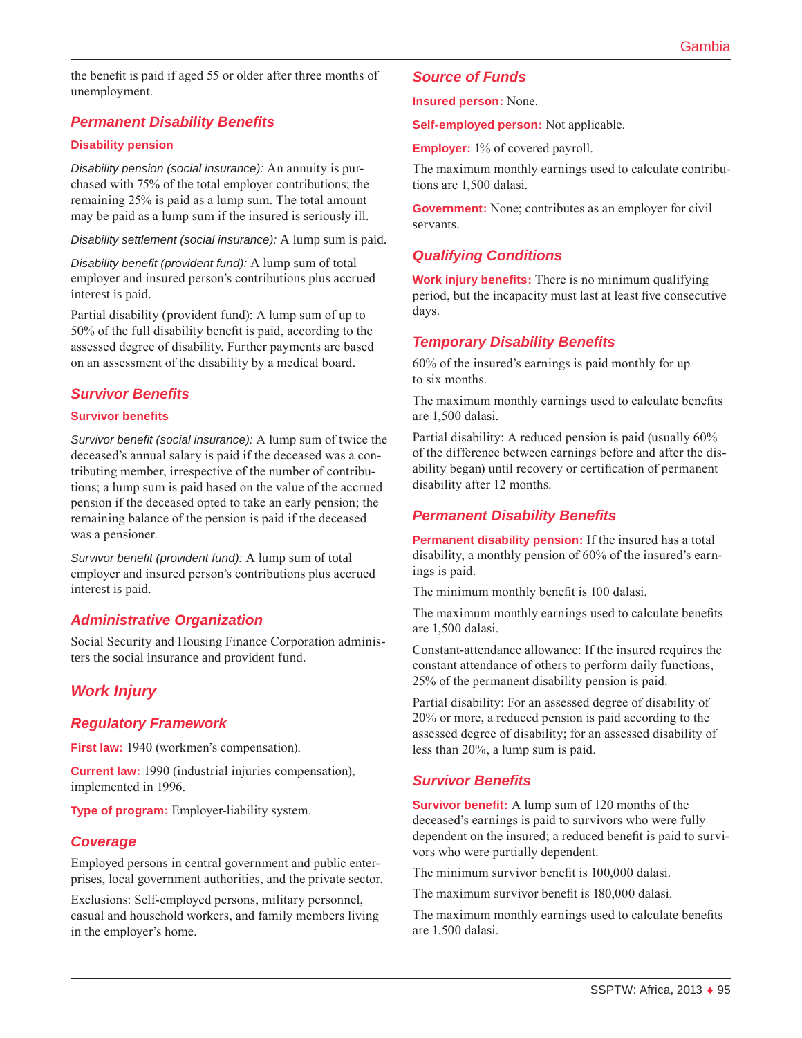the benefit is paid if aged 55 or older after three months of unemployment.

# *Permanent Disability Benefits*

### **Disability pension**

*Disability pension (social insurance):* An annuity is purchased with 75% of the total employer contributions; the remaining 25% is paid as a lump sum. The total amount may be paid as a lump sum if the insured is seriously ill.

*Disability settlement (social insurance):* A lump sum is paid.

*Disability benefit (provident fund):* A lump sum of total employer and insured person's contributions plus accrued interest is paid.

Partial disability (provident fund): A lump sum of up to 50% of the full disability benefit is paid, according to the assessed degree of disability. Further payments are based on an assessment of the disability by a medical board.

### *Survivor Benefits*

### **Survivor benefits**

*Survivor benefit (social insurance):* A lump sum of twice the deceased's annual salary is paid if the deceased was a contributing member, irrespective of the number of contributions; a lump sum is paid based on the value of the accrued pension if the deceased opted to take an early pension; the remaining balance of the pension is paid if the deceased was a pensioner.

*Survivor benefit (provident fund):* A lump sum of total employer and insured person's contributions plus accrued interest is paid.

# *Administrative Organization*

Social Security and Housing Finance Corporation administers the social insurance and provident fund.

# *Work Injury*

# *Regulatory Framework*

**First law:** 1940 (workmen's compensation).

**Current law:** 1990 (industrial injuries compensation), implemented in 1996.

**Type of program:** Employer-liability system.

### *Coverage*

Employed persons in central government and public enterprises, local government authorities, and the private sector.

Exclusions: Self-employed persons, military personnel, casual and household workers, and family members living in the employer's home.

## *Source of Funds*

**Insured person:** None.

**Self-employed person:** Not applicable.

**Employer:** 1% of covered payroll.

The maximum monthly earnings used to calculate contributions are 1,500 dalasi.

**Government:** None; contributes as an employer for civil servants.

# *Qualifying Conditions*

**Work injury benefits:** There is no minimum qualifying period, but the incapacity must last at least five consecutive days.

### *Temporary Disability Benefits*

60% of the insured's earnings is paid monthly for up to six months.

The maximum monthly earnings used to calculate benefits are 1,500 dalasi.

Partial disability: A reduced pension is paid (usually 60% of the difference between earnings before and after the disability began) until recovery or certification of permanent disability after 12 months.

# *Permanent Disability Benefits*

**Permanent disability pension:** If the insured has a total disability, a monthly pension of 60% of the insured's earnings is paid.

The minimum monthly benefit is 100 dalasi.

The maximum monthly earnings used to calculate benefits are 1,500 dalasi.

Constant-attendance allowance: If the insured requires the constant attendance of others to perform daily functions, 25% of the permanent disability pension is paid.

Partial disability: For an assessed degree of disability of 20% or more, a reduced pension is paid according to the assessed degree of disability; for an assessed disability of less than 20%, a lump sum is paid.

# *Survivor Benefits*

**Survivor benefit:** A lump sum of 120 months of the deceased's earnings is paid to survivors who were fully dependent on the insured; a reduced benefit is paid to survivors who were partially dependent.

The minimum survivor benefit is 100,000 dalasi.

The maximum survivor benefit is 180,000 dalasi.

The maximum monthly earnings used to calculate benefits are 1,500 dalasi.